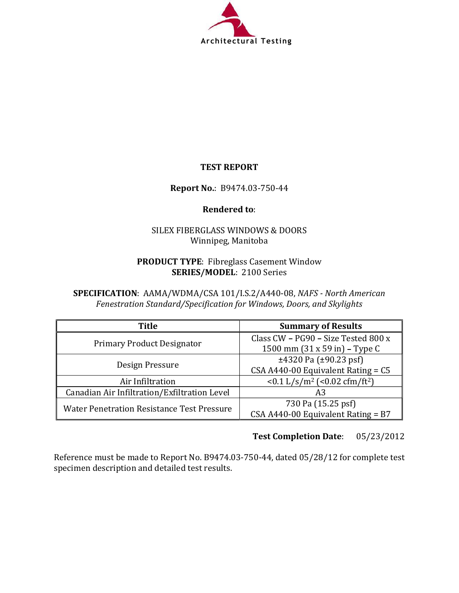

# TEST REPORT

# Report No.: B9474.03-750-44

### Rendered to:

# SILEX FIBERGLASS WINDOWS & DOORS Winnipeg, Manitoba

### PRODUCT TYPE: Fibreglass Casement Window SERIES/MODEL: 2100 Series

SPECIFICATION: AAMA/WDMA/CSA 101/I.S.2/A440-08, NAFS - North American Fenestration Standard/Specification for Windows, Doors, and Skylights

| <b>Title</b>                                 | <b>Summary of Results</b>                                   |  |  |
|----------------------------------------------|-------------------------------------------------------------|--|--|
| <b>Primary Product Designator</b>            | Class CW - PG90 - Size Tested 800 x                         |  |  |
|                                              | 1500 mm $(31 \times 59)$ in $-$ Type C                      |  |  |
| Design Pressure                              | $\pm$ 4320 Pa ( $\pm$ 90.23 psf)                            |  |  |
|                                              | $CSA A440-00$ Equivalent Rating = $C5$                      |  |  |
| Air Infiltration                             | $< 0.1$ L/s/m <sup>2</sup> ( $< 0.02$ cfm/ft <sup>2</sup> ) |  |  |
| Canadian Air Infiltration/Exfiltration Level | A3                                                          |  |  |
| Water Penetration Resistance Test Pressure   | 730 Pa (15.25 psf)                                          |  |  |
|                                              | CSA A440-00 Equivalent Rating = $B7$                        |  |  |

# Test Completion Date: 05/23/2012

Reference must be made to Report No. B9474.03-750-44, dated 05/28/12 for complete test specimen description and detailed test results.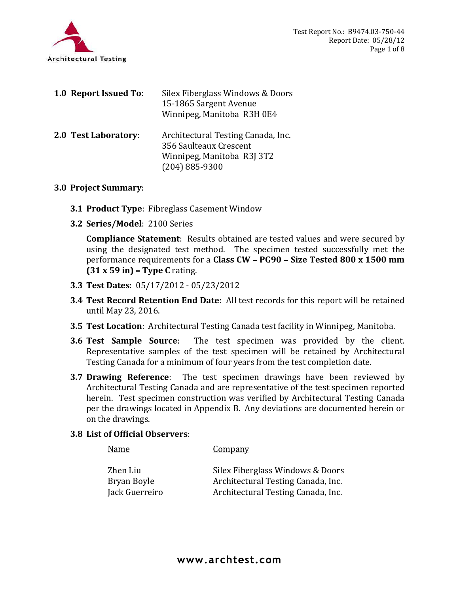

| rchitectural Testing            | Test Report No.: B<br>Report I                                                                                                                                                                          |
|---------------------------------|---------------------------------------------------------------------------------------------------------------------------------------------------------------------------------------------------------|
| <b>1.0 Report Issued To:</b>    | Silex Fiberglass Windows & Doors<br>15-1865 Sargent Avenue<br>Winnipeg, Manitoba R3H 0E4                                                                                                                |
| 2.0 Test Laboratory:            | Architectural Testing Canada, Inc.<br>356 Saulteaux Crescent<br>Winnipeg, Manitoba R3J 3T2<br>$(204) 885 - 9300$                                                                                        |
| 3.0 Project Summary:            |                                                                                                                                                                                                         |
|                                 | <b>3.1 Product Type: Fibreglass Casement Window</b>                                                                                                                                                     |
| 3.2 Series/Model: 2100 Series   |                                                                                                                                                                                                         |
| $(31 x 59 in)$ – Type C rating. | Compliance Statement: Results obtained are tested values and were<br>using the designated test method. The specimen tested successf<br>performance requirements for a Class CW - PG90 - Size Tested 800 |

### 3.0 Project Summary:

- **3.1 Product Type: Fibreglass Casement Window**
- 

Compliance Statement: Results obtained are tested values and were secured by using the designated test method. The specimen tested successfully met the performance requirements for a Class CW - PG90 - Size Tested 800 x 1500 mm  $(31 x 59 in)$  – Type C rating. 3.3 So Sautiteaux Creecint<br>
Winnipeg, Manitoba R3J 3T2<br>
(204) 885-9300<br>
3.2 Series/Model: 2100 Series<br> **Compliance Statement:** Results obtained are tested values and were secured by<br>
using the designated test method. The s

- 3.3 Test Dates: 05/17/2012 05/23/2012
- 3.4 Test Record Retention End Date: All test records for this report will be retained until May 23, 2016.
- 3.5 Test Location: Architectural Testing Canada test facility in Winnipeg, Manitoba.
- Representative samples of the test specimen will be retained by Architectural Testing Canada for a minimum of four years from the test completion date.
- **Project Summary:**<br>
3.1 Product Type: Fibreglass Casement Window<br>
3.2 Series/Model: 2100 Series<br> **Compliance Statement:** Results obtained are tested values and were secured by<br>
using the designated test method. The specime Architectural Testing Canada and are representative of the test specimen reported herein. Test specimen construction was verified by Architectural Testing Canada per the drawings located in Appendix B. Any deviations are documented herein or on the drawings.

#### 3.8 List of Official Observers:

Name Company Zhen Liu Silex Fiberglass Windows & Doors Bryan Boyle Architectural Testing Canada, Inc. Jack Guerreiro Architectural Testing Canada, Inc.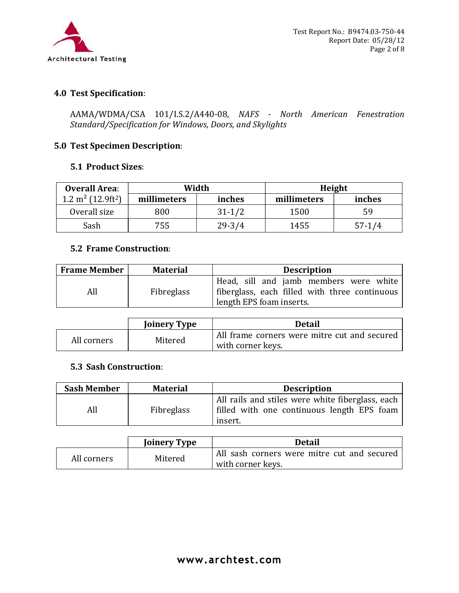

# 4.0 Test Specification:

AAMA/WDMA/CSA 101/I.S.2/A440-08, NAFS - North American Fenestration Standard/Specification for Windows, Doors, and Skylights

# 5.0 Test Specimen Description:

#### 5.1 Product Sizes:

| <b>Overall Area:</b>                     | Width       |            | Height      |          |  |  |
|------------------------------------------|-------------|------------|-------------|----------|--|--|
| $1.2 \text{ m}^2$ (12.9ft <sup>2</sup> ) | millimeters | inches     | millimeters | inches   |  |  |
| Overall size                             | 800         | $31 - 1/2$ | 1500        | 59       |  |  |
| Sash                                     | 755         | $29 - 3/4$ | 1455        | $57-1/4$ |  |  |

# 5.2 Frame Construction:

| <b>Frame Member</b> | <b>Material</b>   | <b>Description</b>                                                                                                      |
|---------------------|-------------------|-------------------------------------------------------------------------------------------------------------------------|
| All                 | <b>Fibreglass</b> | Head, sill and jamb members were white<br>  fiberglass, each filled with three continuous  <br>length EPS foam inserts. |

|             | <b>Joinery Type</b> | <b>Detail</b>                                |
|-------------|---------------------|----------------------------------------------|
| All corners | Mitered             | All frame corners were mitre cut and secured |
|             |                     | with corner keys.                            |

#### 5.3 Sash Construction:

| <b>Sash Member</b> | <b>Material</b> | <b>Description</b>                                                                                        |
|--------------------|-----------------|-----------------------------------------------------------------------------------------------------------|
| All                | Fibreglass      | All rails and stiles were white fiberglass, each<br>filled with one continuous length EPS foam<br>insert. |

|             | <b>Joinery Type</b> | Detail                                                             |
|-------------|---------------------|--------------------------------------------------------------------|
| All corners | Mitered             | All sash corners were mitre cut and secured '<br>with corner keys. |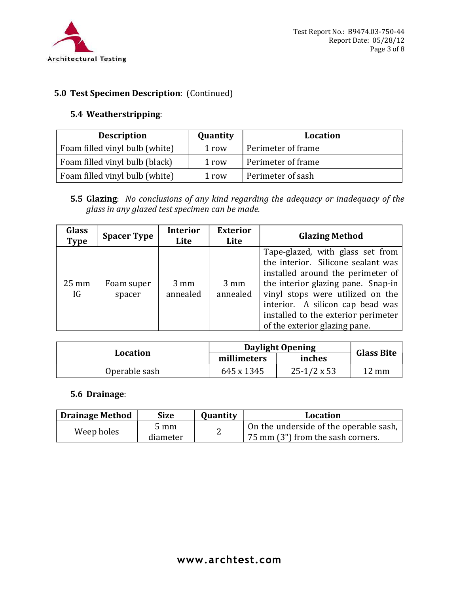

# 5.0 Test Specimen Description: (Continued)

| chitectural Testing | <b>5.0 Test Specimen Description: (Continued)</b>    |                   | Test Report No.: B9474.03-750-44<br>Report Date: 05/28/12                                  | Page 3 of 8 |
|---------------------|------------------------------------------------------|-------------------|--------------------------------------------------------------------------------------------|-------------|
|                     | 5.4 Weatherstripping:                                |                   |                                                                                            |             |
|                     |                                                      |                   | <b>Location</b>                                                                            |             |
|                     | <b>Description</b><br>Foam filled vinyl bulb (white) | Quantity<br>1 row | Perimeter of frame                                                                         |             |
|                     | Foam filled vinyl bulb (black)                       | 1 row             | Perimeter of frame                                                                         |             |
|                     | Foam filled vinyl bulb (white)                       | 1 row             | Perimeter of sash                                                                          |             |
|                     | glass in any glazed test specimen can be made.       |                   | <b>5.5 Glazing:</b> No conclusions of any kind regarding the adequacy or inadequacy of the |             |

|                        |                      | glass in any glazed test specimen can be made. |                            |                            |  |                                   |                       | <b>5.5 GIAZING</b> : <i>NO CONCIUSIONS OF ANY KINA regarding the adequacy or madequacy of the</i>                                                                                                                                                                |
|------------------------|----------------------|------------------------------------------------|----------------------------|----------------------------|--|-----------------------------------|-----------------------|------------------------------------------------------------------------------------------------------------------------------------------------------------------------------------------------------------------------------------------------------------------|
| Glass<br>Type          | <b>Spacer Type</b>   |                                                | <b>Interior</b><br>Lite    | <b>Exterior</b><br>Lite    |  |                                   | <b>Glazing Method</b> |                                                                                                                                                                                                                                                                  |
| $25 \text{ mm}$<br>IG  | Foam super<br>spacer |                                                | $3 \text{ mm}$<br>annealed | $3 \text{ mm}$<br>annealed |  | of the exterior glazing pane.     |                       | Tape-glazed, with glass set from<br>the interior. Silicone sealant was<br>installed around the perimeter of<br>the interior glazing pane. Snap-in<br>vinyl stops were utilized on the<br>interior. A silicon cap bead was<br>installed to the exterior perimeter |
|                        |                      |                                                |                            |                            |  | <b>Daylight Opening</b>           |                       |                                                                                                                                                                                                                                                                  |
|                        | <b>Location</b>      |                                                |                            | millimeters                |  | inches                            |                       | <b>Glass Bite</b>                                                                                                                                                                                                                                                |
|                        | Operable sash        |                                                |                            | 645 x 1345                 |  | $25-1/2 \times 53$                |                       | $12 \text{ mm}$                                                                                                                                                                                                                                                  |
|                        | 5.6 Drainage:        |                                                |                            |                            |  |                                   |                       |                                                                                                                                                                                                                                                                  |
| <b>Drainage Method</b> |                      | <b>Size</b>                                    |                            | Quantity                   |  |                                   | <b>Location</b>       |                                                                                                                                                                                                                                                                  |
|                        | Weep holes           | $5 \text{ mm}$<br>diameter                     |                            | 2                          |  | 75 mm (3") from the sash corners. |                       | On the underside of the operable sash,                                                                                                                                                                                                                           |

|               | Daylight Opening |                    |                   |
|---------------|------------------|--------------------|-------------------|
| Location      | millimeters      | inches             | <b>Glass Bite</b> |
| Operable sash | 645 x 1345       | $25-1/2 \times 53$ | $12 \text{ mm}$   |

| <b>Drainage Method</b> | <b>Size</b> | <b>Ouantity</b> | Location                               |
|------------------------|-------------|-----------------|----------------------------------------|
| Weep holes             | mm כ        |                 | On the underside of the operable sash, |
|                        | diameter    | ⊷               | .75 mm (3") from the sash corners.     |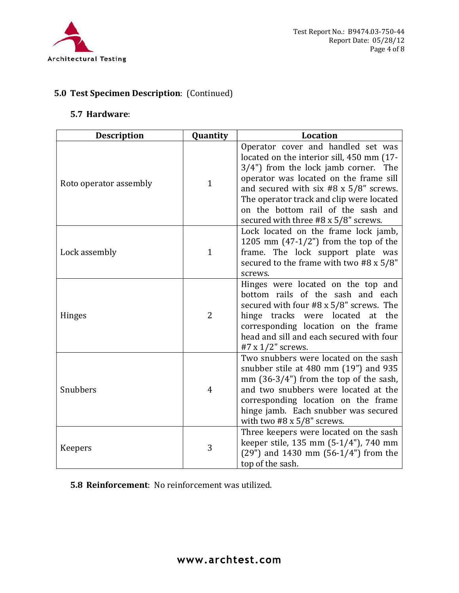

# 5.0 Test Specimen Description: (Continued)

| chitectural Testing                               |                | Test Report No.: B9474.03-750-44<br>Report Date: 05/28/12<br>Page 4 of 8                                                                                                                                                                                                                                                                        |
|---------------------------------------------------|----------------|-------------------------------------------------------------------------------------------------------------------------------------------------------------------------------------------------------------------------------------------------------------------------------------------------------------------------------------------------|
| <b>5.0 Test Specimen Description: (Continued)</b> |                |                                                                                                                                                                                                                                                                                                                                                 |
| 5.7 Hardware:                                     |                |                                                                                                                                                                                                                                                                                                                                                 |
| <b>Description</b>                                | Quantity       | Location                                                                                                                                                                                                                                                                                                                                        |
| Roto operator assembly                            | $\mathbf{1}$   | Operator cover and handled set was<br>located on the interior sill, 450 mm (17-<br>$3/4$ ") from the lock jamb corner. The<br>operator was located on the frame sill<br>and secured with six $#8 \times 5/8"$ screws.<br>The operator track and clip were located<br>on the bottom rail of the sash and<br>secured with three #8 x 5/8" screws. |
| Lock assembly                                     |                | Lock located on the frame lock jamb,<br>1205 mm $(47-1/2")$ from the top of the<br>frame. The lock support plate was<br>secured to the frame with two #8 $x$ 5/8"<br>screws.                                                                                                                                                                    |
| <b>Hinges</b>                                     | $\overline{2}$ | Hinges were located on the top and<br>bottom rails of the sash and each<br>secured with four #8 x 5/8" screws. The<br>hinge tracks were located at the<br>corresponding location on the frame<br>head and sill and each secured with four<br>#7 x $1/2$ " screws.                                                                               |
| Snubbers                                          | $\overline{4}$ | Two snubbers were located on the sash<br>snubber stile at $480$ mm $(19")$ and $935$<br>mm $(36-3/4")$ from the top of the sash,<br>and two snubbers were located at the<br>corresponding location on the frame<br>hinge jamb. Each snubber was secured<br>with two $#8 \times 5/8"$ screws.                                                    |
| Keepers                                           | 3              | Three keepers were located on the sash<br>keeper stile, 135 mm (5-1/4"), 740 mm<br>$(29")$ and 1430 mm $(56-1/4")$ from the<br>top of the sash.                                                                                                                                                                                                 |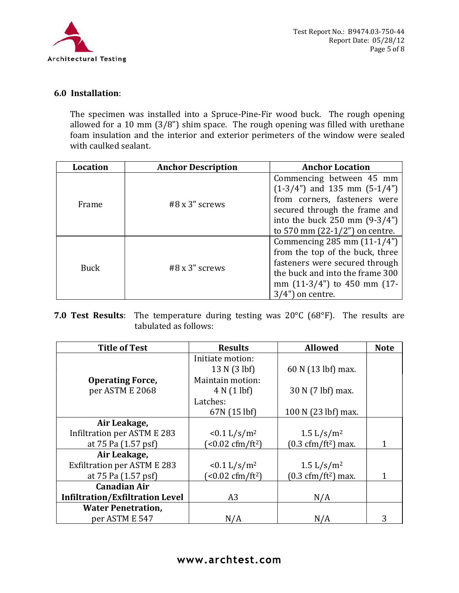

Test Re<br>
Test Re<br>
Test Re<br>
Chitectural Testing<br>
6.0 Installation:<br>
The specimen was installed into a Spruce-Pine-Fir wood bucl<br>
allowed for a 10 mm (3/8") shim space. The rough opening w<br>
foam insulation and the interior a The specimen was installed into a Spruce-Pine-Fir wood buck. The rough opening allowed for a 10 mm (3/8") shim space. The rough opening was filled with urethane foam insulation and the interior and exterior perimeters of the window were sealed with caulked sealant.

| <b>Location</b> | <b>Anchor Description</b> | <b>Anchor Location</b>                  |  |
|-----------------|---------------------------|-----------------------------------------|--|
| Frame           | $#8x3"$ screws            | Commencing between 45 mm                |  |
|                 |                           | $(1-3/4")$ and 135 mm $(5-1/4")$        |  |
|                 |                           | from corners, fasteners were            |  |
|                 |                           | secured through the frame and           |  |
|                 |                           | into the buck $250 \text{ mm} (9-3/4")$ |  |
|                 |                           | to 570 mm (22-1/2") on centre.          |  |
| Buck            | $#8x3"$ screws            | Commencing 285 mm $(11-1/4")$           |  |
|                 |                           | from the top of the buck, three         |  |
|                 |                           | fasteners were secured through          |  |
|                 |                           | the buck and into the frame 300         |  |
|                 |                           | mm $(11-3/4)$ to 450 mm $(17-$          |  |
|                 |                           | $3/4"$ ) on centre.                     |  |

7.0 Test Results: The temperature during testing was  $20^{\circ}$ C (68 $^{\circ}$ F). The results are tabulated as follows:

| <b>Title of Test</b>                   | <b>Results</b>             | <b>Allowed</b>                              | <b>Note</b> |
|----------------------------------------|----------------------------|---------------------------------------------|-------------|
|                                        | Initiate motion:           |                                             |             |
|                                        | 13 N (3 lbf)               | 60 N (13 lbf) max.                          |             |
| <b>Operating Force,</b>                | Maintain motion:           |                                             |             |
| per ASTM E 2068                        | 4 N (1 lbf)                | 30 N (7 lbf) max.                           |             |
|                                        | Latches:                   |                                             |             |
|                                        | 67N (15 lbf)               | 100 N (23 lbf) max.                         |             |
| Air Leakage,                           |                            |                                             |             |
| Infiltration per ASTM E 283            | $< 0.1$ L/s/m <sup>2</sup> | 1.5 $L/s/m^2$                               |             |
| at 75 Pa (1.57 psf)                    | $(<0.02 \text{ cfm/ft}^2)$ | $(0.3 \text{ cfm}/\text{ft}^2)$ max.        |             |
| Air Leakage,                           |                            |                                             |             |
| Exfiltration per ASTM E 283            | $< 0.1$ L/s/m <sup>2</sup> | $1.5 \frac{\text{L}}{\text{s}} \text{/m}^2$ |             |
| at 75 Pa (1.57 psf)                    | $(<0.02 \text{ cfm/ft}^2)$ | $(0.3 \text{ cfm}/\text{ft}^2)$ max.        |             |
| <b>Canadian Air</b>                    |                            |                                             |             |
| <b>Infiltration/Exfiltration Level</b> | A3                         | N/A                                         |             |
| <b>Water Penetration,</b>              |                            |                                             |             |
| per ASTM E 547                         | N/A                        | N/A                                         | 3           |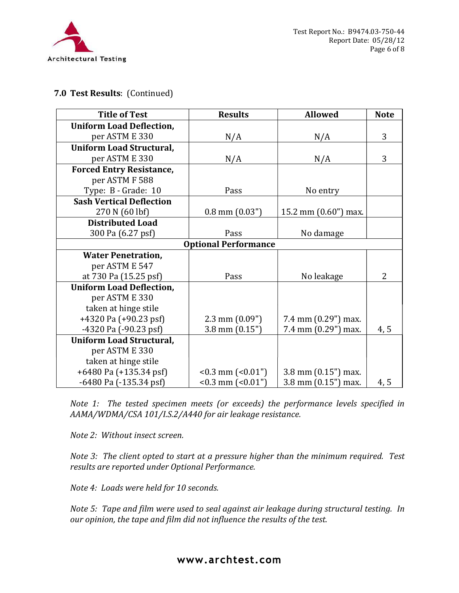

### 7.0 Test Results: (Continued)

| <b>Title of Test</b>            | <b>Results</b>              | <b>Allowed</b>        | <b>Note</b> |
|---------------------------------|-----------------------------|-----------------------|-------------|
| <b>Uniform Load Deflection,</b> |                             |                       |             |
| per ASTM E 330                  | N/A                         | N/A                   | 3           |
| <b>Uniform Load Structural,</b> |                             |                       |             |
| per ASTM E 330                  | N/A                         | N/A                   | 3           |
| <b>Forced Entry Resistance,</b> |                             |                       |             |
| per ASTM F 588                  |                             |                       |             |
| Type: B - Grade: 10             | Pass                        | No entry              |             |
| <b>Sash Vertical Deflection</b> |                             |                       |             |
| 270 N (60 lbf)                  | $0.8$ mm $(0.03")$          | 15.2 mm $(0.60)$ max. |             |
| <b>Distributed Load</b>         |                             |                       |             |
| 300 Pa (6.27 psf)               | Pass                        | No damage             |             |
|                                 | <b>Optional Performance</b> |                       |             |
| <b>Water Penetration,</b>       |                             |                       |             |
| per ASTM E 547                  |                             |                       |             |
| at 730 Pa (15.25 psf)           | Pass                        | No leakage            | 2           |
| <b>Uniform Load Deflection,</b> |                             |                       |             |
| per ASTM E 330                  |                             |                       |             |
| taken at hinge stile            |                             |                       |             |
| $+4320$ Pa $(+90.23$ psf)       | $2.3$ mm $(0.09")$          | 7.4 mm (0.29") max.   |             |
| $-4320$ Pa $(-90.23$ psf)       | $3.8$ mm $(0.15")$          | 7.4 mm (0.29") max.   | 4, 5        |
| <b>Uniform Load Structural,</b> |                             |                       |             |
| per ASTM E 330                  |                             |                       |             |
| taken at hinge stile            |                             |                       |             |
| $+6480$ Pa $(+135.34$ psf)      | $< 0.3$ mm $(0.01)$         | 3.8 mm $(0.15")$ max. |             |
| $-6480$ Pa $(-135.34$ psf)      | $< 0.3$ mm $(0.01)$         | 3.8 mm $(0.15")$ max. | 4, 5        |

Note 1: The tested specimen meets (or exceeds) the performance levels specified in AAMA/WDMA/CSA 101/I.S.2/A440 for air leakage resistance.

Note 2: Without insect screen.

Note 3: The client opted to start at a pressure higher than the minimum required. Test results are reported under Optional Performance.

Note 4: Loads were held for 10 seconds.

Note 5: Tape and film were used to seal against air leakage during structural testing. In our opinion, the tape and film did not influence the results of the test.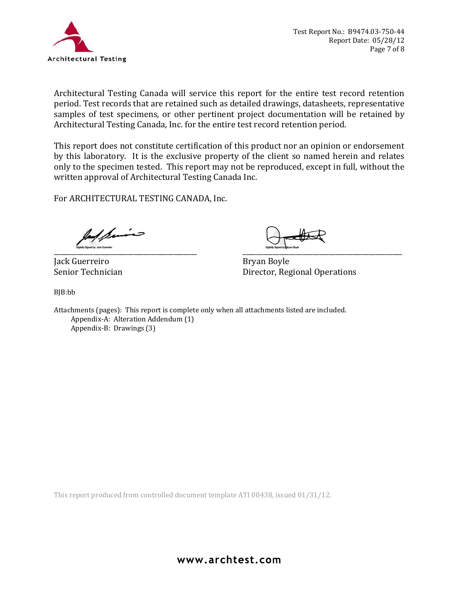

Architectural Testing Canada will service this report for the entire test record retention period. Test records that are retained such as detailed drawings, datasheets, representative samples of test specimens, or other pertinent project documentation will be retained by Architectural Testing Canada, Inc. for the entire test record retention period.

This report does not constitute certification of this product nor an opinion or endorsement by this laboratory. It is the exclusive property of the client so named herein and relates only to the specimen tested. This report may not be reproduced, except in full, without the written approval of Architectural Testing Canada Inc.

For ARCHITECTURAL TESTING CANADA, Inc.  $\bigcup_{\text{sum, sum, sum}}$ 

Jack Guerreiro **Bryan Boyle** 

Senior Technician **Director**, Regional Operations

BJB:bb

Attachments (pages): This report is complete only when all attachments listed are included. Appendix-A: Alteration Addendum (1) Appendix-B: Drawings (3)

This report produced from controlled document template ATI 00438, issued 01/31/12.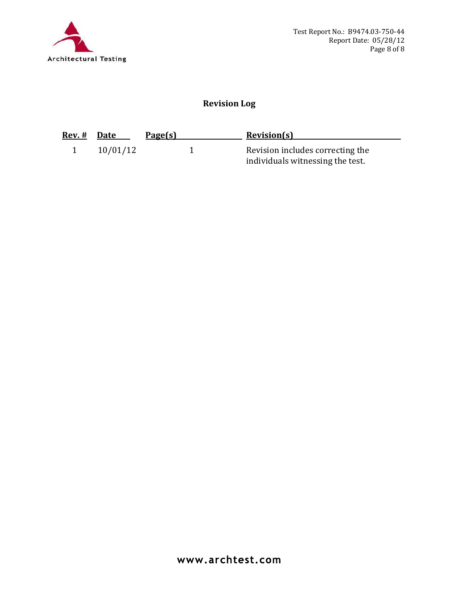

# Revision Log

| <u>Rev. #</u> | Date     | Page(s) | <b>Revision(s)</b>                                                   |
|---------------|----------|---------|----------------------------------------------------------------------|
|               | 10/01/12 |         | Revision includes correcting the<br>individuals witnessing the test. |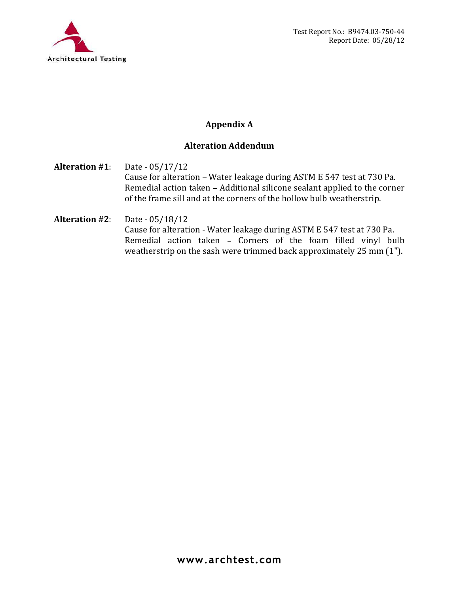

# Appendix A

# Alteration Addendum

Alteration #1: Date - 05/17/12 Cause for alteration - Water leakage during ASTM E 547 test at 730 Pa. Remedial action taken - Additional silicone sealant applied to the corner of the frame sill and at the corners of the hollow bulb weatherstrip.

Alteration #2: Date - 05/18/12 Cause for alteration - Water leakage during ASTM E 547 test at 730 Pa. Remedial action taken - Corners of the foam filled vinyl bulb weatherstrip on the sash were trimmed back approximately 25 mm (1").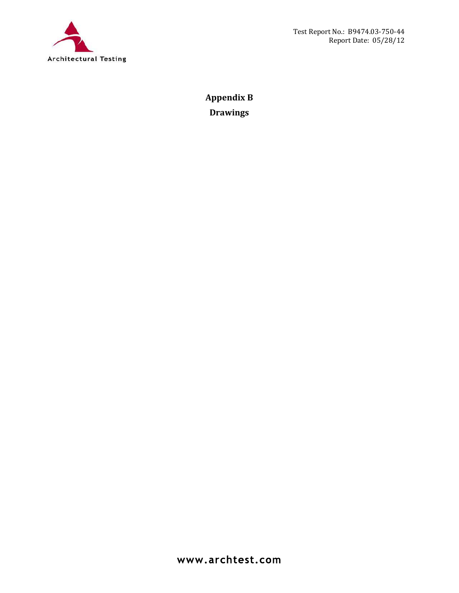

Appendix B Drawings